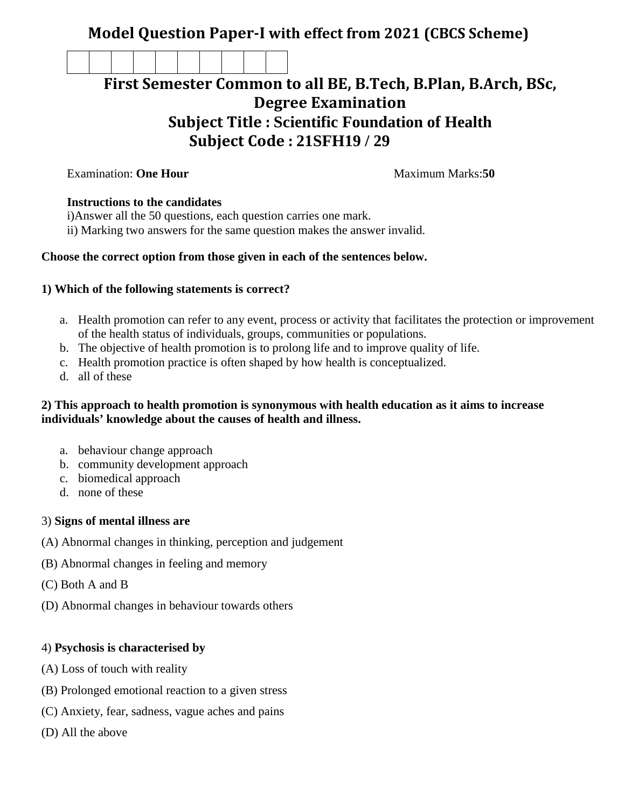## **Model Question Paper-I with effect from 2021 (CBCS Scheme)**

# **First Semester Common to all BE, B.Tech, B.Plan, B.Arch, BSc, Degree Examination Subject Title : Scientific Foundation of Health Subject Code : 21SFH19 / 29**

**Examination: One Hour Maximum Marks:50** 

#### **Instructions to the candidates**

i)Answer all the 50 questions, each question carries one mark.

ii) Marking two answers for the same question makes the answer invalid.

### **Choose the correct option from those given in each of the sentences below.**

#### **1) Which of the following statements is correct?**

- a. Health promotion can refer to any event, process or activity that facilitates the protection or improvement of the health status of individuals, groups, communities or populations.
- b. The objective of health promotion is to prolong life and to improve quality of life.
- c. Health promotion practice is often shaped by how health is conceptualized.
- d. all of these

#### **2) This approach to health promotion is synonymous with health education as it aims to increase individuals' knowledge about the causes of health and illness.**

- a. behaviour change approach
- b. community development approach
- c. biomedical approach
- d. none of these

#### 3) **Signs of mental illness are**

- (A) Abnormal changes in thinking, perception and judgement
- (B) Abnormal changes in feeling and memory
- (C) Both A and B
- (D) Abnormal changes in behaviour towards others

### 4) **Psychosis is characterised by**

- (A) Loss of touch with reality
- (B) Prolonged emotional reaction to a given stress
- (C) Anxiety, fear, sadness, vague aches and pains
- (D) All the above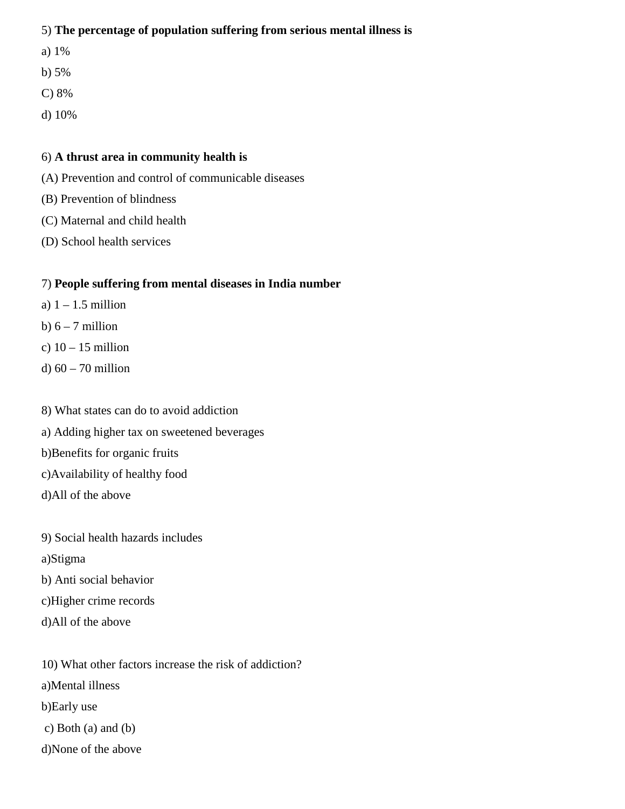#### 5) **The percentage of population suffering from serious mental illness is**

- a) 1%
- b) 5%
- C) 8%
- d) 10%

#### 6) **A thrust area in community health is**

- (A) Prevention and control of communicable diseases
- (B) Prevention of blindness
- (C) Maternal and child health
- (D) School health services

## 7) **People suffering from mental diseases in India number**

- a)  $1 1.5$  million
- b)  $6 7$  million
- c)  $10 15$  million
- d) 60 70 million
- 8) What states can do to avoid addiction
- a) Adding higher tax on sweetened beverages
- b)Benefits for organic fruits
- c)Availability of healthy food
- d)All of the above
- 9) Social health hazards includes
- a)Stigma
- b) Anti social behavior
- c)Higher crime records
- d)All of the above
- 10) What other factors increase the risk of addiction?
- a)Mental illness
- b)Early use
- c) Both (a) and (b)
- d)None of the above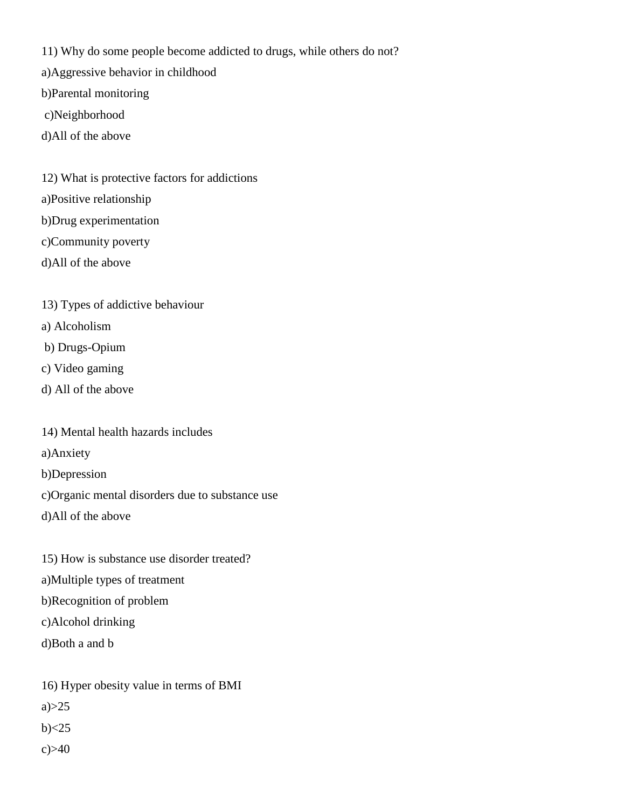11) Why do some people become addicted to drugs, while others do not?

- a)Aggressive behavior in childhood
- b)Parental monitoring
- c)Neighborhood
- d)All of the above
- 12) What is protective factors for addictions
- a)Positive relationship
- b)Drug experimentation
- c)Community poverty
- d)All of the above
- 13) Types of addictive behaviour
- a) Alcoholism
- b) Drugs-Opium
- c) Video gaming
- d) All of the above
- 14) Mental health hazards includes
- a)Anxiety
- b)Depression
- c)Organic mental disorders due to substance use
- d)All of the above
- 15) How is substance use disorder treated?
- a)Multiple types of treatment
- b)Recognition of problem
- c)Alcohol drinking
- d)Both a and b

16) Hyper obesity value in terms of BMI

 $a) > 25$ 

 $b) < 25$ 

 $c) > 40$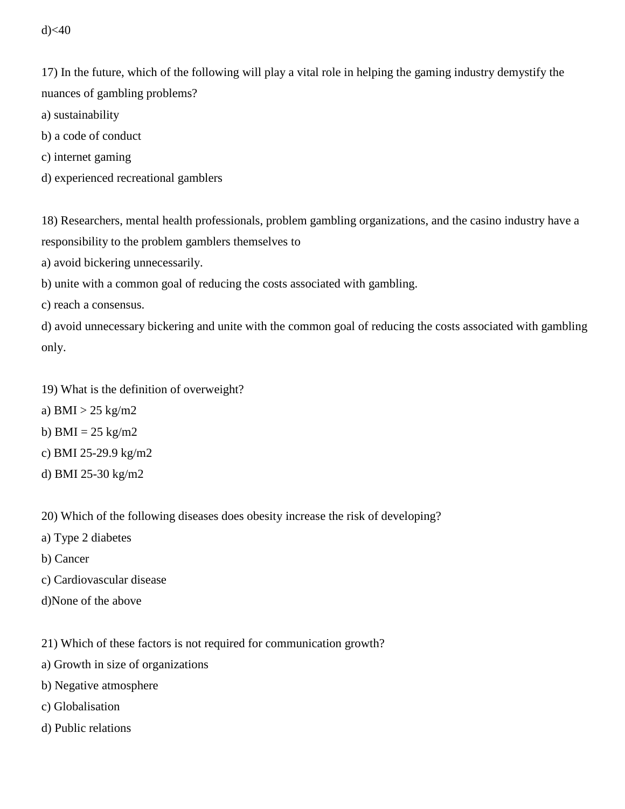$d$  $<$ 40

17) In the future, which of the following will play a vital role in helping the gaming industry demystify the nuances of gambling problems?

- a) sustainability
- b) a code of conduct
- c) internet gaming
- d) experienced recreational gamblers

18) Researchers, mental health professionals, problem gambling organizations, and the casino industry have a responsibility to the problem gamblers themselves to

a) avoid bickering unnecessarily.

b) unite with a common goal of reducing the costs associated with gambling.

c) reach a consensus.

d) avoid unnecessary bickering and unite with the common goal of reducing the costs associated with gambling only.

19) What is the definition of overweight?

- a) BMI  $>$  25 kg/m2
- b) BMI =  $25 \text{ kg/m2}$
- c) BMI 25-29.9 kg/m2
- d) BMI 25-30 kg/m2

20) Which of the following diseases does obesity increase the risk of developing?

- a) Type 2 diabetes
- b) Cancer
- c) Cardiovascular disease
- d)None of the above

21) Which of these factors is not required for communication growth?

- a) Growth in size of organizations
- b) Negative atmosphere
- c) Globalisation
- d) Public relations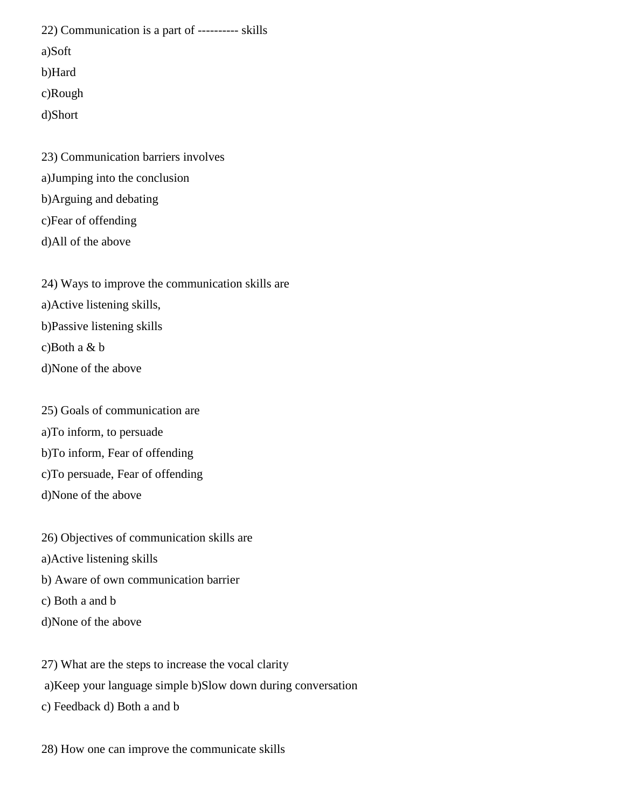22) Communication is a part of ---------- skills

a)Soft

b)Hard

c)Rough

d)Short

23) Communication barriers involves a)Jumping into the conclusion b)Arguing and debating c)Fear of offending

d)All of the above

24) Ways to improve the communication skills are a)Active listening skills, b)Passive listening skills c)Both a & b d)None of the above

25) Goals of communication are

- a)To inform, to persuade
- b)To inform, Fear of offending
- c)To persuade, Fear of offending
- d)None of the above

26) Objectives of communication skills are

- a)Active listening skills
- b) Aware of own communication barrier
- c) Both a and b
- d)None of the above

27) What are the steps to increase the vocal clarity a)Keep your language simple b)Slow down during conversation

c) Feedback d) Both a and b

28) How one can improve the communicate skills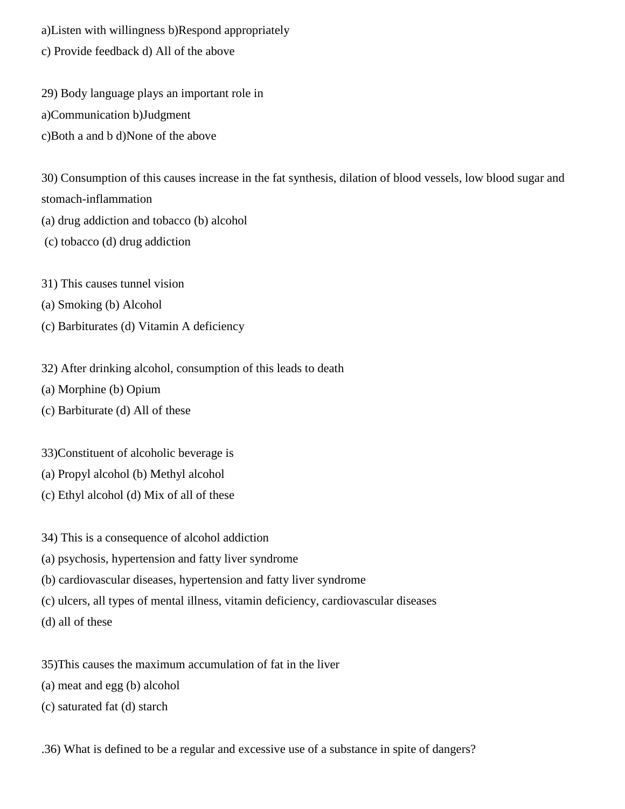a)Listen with willingness b)Respond appropriately c) Provide feedback d) All of the above

29) Body language plays an important role in a)Communication b)Judgment c)Both a and b d)None of the above

30) Consumption of this causes increase in the fat synthesis, dilation of blood vessels, low blood sugar and stomach-inflammation

(a) drug addiction and tobacco (b) alcohol

(c) tobacco (d) drug addiction

31) This causes tunnel vision

(a) Smoking (b) Alcohol

(c) Barbiturates (d) Vitamin A deficiency

32) After drinking alcohol, consumption of this leads to death

(a) Morphine (b) Opium

(c) Barbiturate (d) All of these

33)Constituent of alcoholic beverage is

(a) Propyl alcohol (b) Methyl alcohol

(c) Ethyl alcohol (d) Mix of all of these

34) This is a consequence of alcohol addiction

(a) psychosis, hypertension and fatty liver syndrome

(b) cardiovascular diseases, hypertension and fatty liver syndrome

(c) ulcers, all types of mental illness, vitamin deficiency, cardiovascular diseases

(d) all of these

35)This causes the maximum accumulation of fat in the liver

(a) meat and egg (b) alcohol

(c) saturated fat (d) starch

.36) What is defined to be a regular and excessive use of a substance in spite of dangers?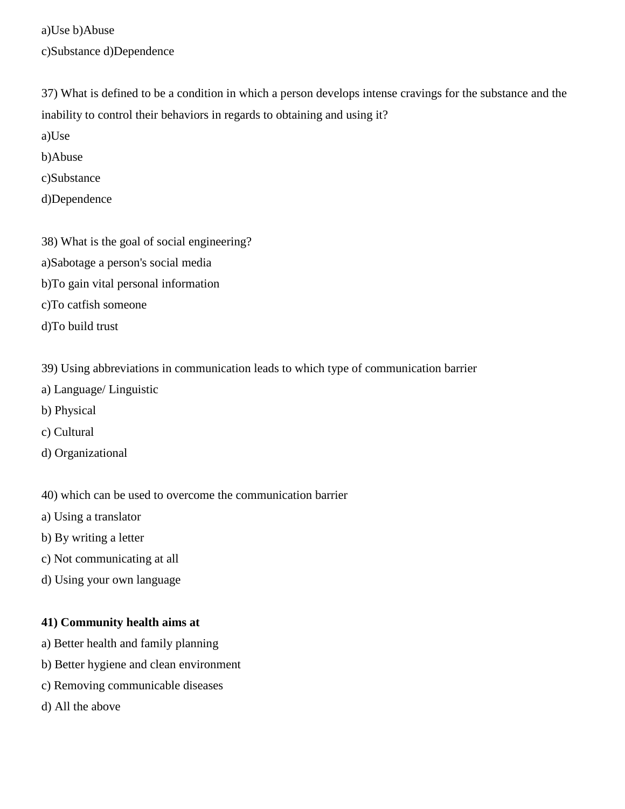a)Use b)Abuse c)Substance d)Dependence

37) What is defined to be a condition in which a person develops intense cravings for the substance and the inability to control their behaviors in regards to obtaining and using it?

a)Use

b)Abuse

c)Substance

- d)Dependence
- 38) What is the goal of social engineering?
- a)Sabotage a person's social media
- b)To gain vital personal information
- c)To catfish someone
- d)To build trust
- 39) Using abbreviations in communication leads to which type of communication barrier
- a) Language/ Linguistic
- b) Physical
- c) Cultural
- d) Organizational
- 40) which can be used to overcome the communication barrier
- a) Using a translator
- b) By writing a letter
- c) Not communicating at all
- d) Using your own language

#### **41) Community health aims at**

- a) Better health and family planning
- b) Better hygiene and clean environment
- c) Removing communicable diseases
- d) All the above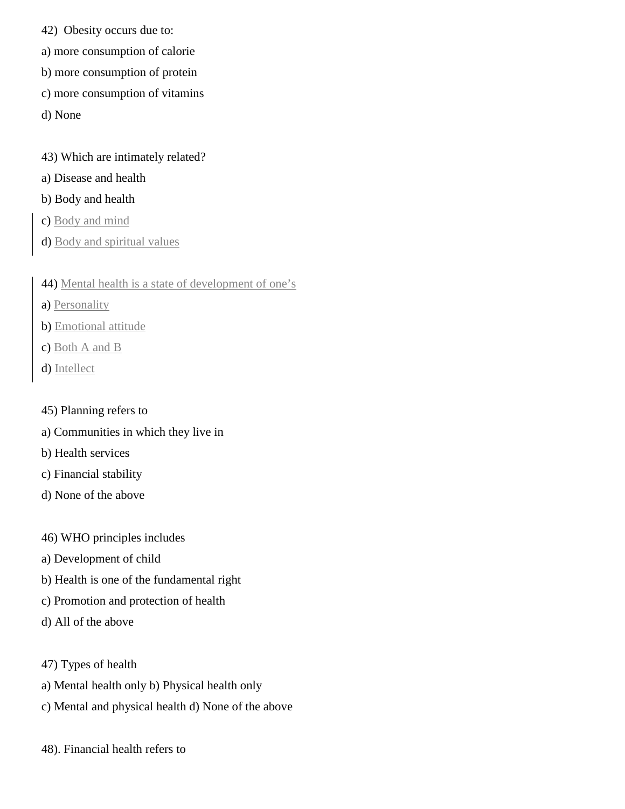- 42) Obesity occurs due to:
- a) more consumption of calorie
- b) more consumption of protein
- c) more consumption of vitamins
- d) None
- 43) Which are intimately related?
- a) Disease and health

#### b) Body and health

- c) Body and mind
- d) Body and spiritual values
- 44) Mental health is a state of development of one's
- a) Personality
- b) Emotional attitude
- c) Both A and B
- d) Intellect
- 45) Planning refers to
- a) Communities in which they live in
- b) Health services
- c) Financial stability
- d) None of the above
- 46) WHO principles includes
- a) Development of child
- b) Health is one of the fundamental right
- c) Promotion and protection of health
- d) All of the above
- 47) Types of health
- a) Mental health only b) Physical health only
- c) Mental and physical health d) None of the above
- 48). Financial health refers to